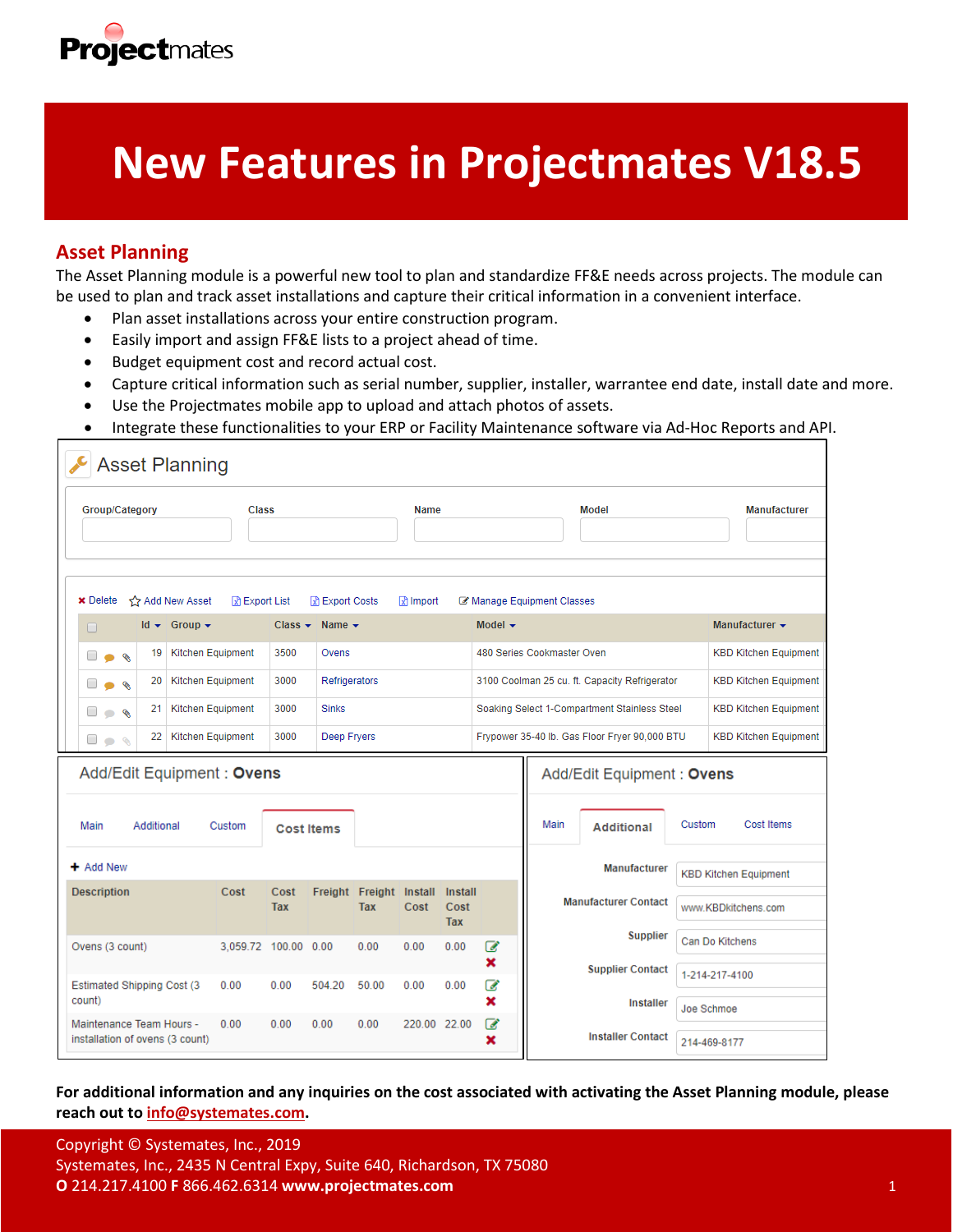

# **New Features in Projectmates V18.5**

## **Asset Planning**

The Asset Planning module is a powerful new tool to plan and standardize FF&E needs across projects. The module can be used to plan and track asset installations and capture their critical information in a convenient interface.

- Plan asset installations across your entire construction program.
- Easily import and assign FF&E lists to a project ahead of time.
- Budget equipment cost and record actual cost.
- Capture critical information such as serial number, supplier, installer, warrantee end date, install date and more.
- Use the Projectmates mobile app to upload and attach photos of assets.
- Integrate these functionalities to your ERP or Facility Maintenance software via Ad-Hoc Reports and API.

| <b>Asset Planning</b>                                       |                      |                       |                 |                                              |                     |                                               |                            |                              |                              |                     |                              |
|-------------------------------------------------------------|----------------------|-----------------------|-----------------|----------------------------------------------|---------------------|-----------------------------------------------|----------------------------|------------------------------|------------------------------|---------------------|------------------------------|
| Group/Category                                              | <b>Class</b>         |                       |                 | Name                                         |                     |                                               |                            | Model                        |                              | <b>Manufacturer</b> |                              |
| <b>x</b> Delete<br>Add New Asset                            | R Export List        |                       | जि Export Costs |                                              | $\mathbb{R}$ import |                                               |                            | Manage Equipment Classes     |                              |                     |                              |
| $Id \rightarrow$ Group $\rightarrow$<br>0                   |                      | $Class -$             | Name $\sim$     |                                              |                     |                                               | Model $\sim$               |                              |                              |                     | Manufacturer $\sim$          |
| <b>Kitchen Equipment</b><br>19<br>ø                         |                      | 3500<br>Ovens         |                 |                                              |                     |                                               | 480 Series Cookmaster Oven |                              |                              |                     | <b>KBD Kitchen Equipment</b> |
| <b>Kitchen Equipment</b><br>20<br>è                         |                      | 3000<br>Refrigerators |                 |                                              |                     | 3100 Coolman 25 cu. ft. Capacity Refrigerator |                            |                              | <b>KBD Kitchen Equipment</b> |                     |                              |
| <b>Kitchen Equipment</b><br>21<br>◈<br>$\Box$<br>$\bullet$  |                      | 3000                  | <b>Sinks</b>    | Soaking Select 1-Compartment Stainless Steel |                     |                                               |                            | <b>KBD Kitchen Equipment</b> |                              |                     |                              |
| Kitchen Equipment<br>22<br><b>Des</b>                       |                      | 3000<br>Deep Fryers   |                 |                                              |                     | Frypower 35-40 lb. Gas Floor Fryer 90,000 BTU |                            |                              | <b>KBD Kitchen Equipment</b> |                     |                              |
| Add/Edit Equipment: Ovens                                   |                      |                       |                 |                                              |                     | Add/Edit Equipment: Ovens                     |                            |                              |                              |                     |                              |
| Main<br>Additional                                          | Custom               | <b>Cost Items</b>     |                 |                                              |                     |                                               |                            | Main                         | <b>Additional</b>            | Custom              | Cost Items                   |
| $+$ Add New                                                 |                      |                       |                 |                                              |                     |                                               |                            |                              | <b>Manufacturer</b>          |                     | <b>KBD Kitchen Equipment</b> |
| <b>Description</b>                                          | Cost                 | Cost<br>Tax           | Freight         | Freight Install<br><b>Tax</b>                | Cost                | Install<br>Cost<br><b>Tax</b>                 |                            |                              | <b>Manufacturer Contact</b>  |                     | www.KBDkitchens.com          |
| Ovens (3 count)                                             | 3.059.72 100.00 0.00 |                       |                 | 0.00                                         | 0.00                | 0.00                                          | ☑                          |                              | <b>Supplier</b>              |                     | Can Do Kitchens              |
|                                                             |                      |                       |                 |                                              |                     |                                               | ×                          |                              | <b>Supplier Contact</b>      |                     | 1-214-217-4100               |
| <b>Estimated Shipping Cost (3)</b><br>count)                | 0.00                 | 0.00                  | 504.20          | 50.00                                        | 0.00                | 0.00                                          | ☞<br>×                     |                              | <b>Installer</b>             | Joe Schmoe          |                              |
| Maintenance Team Hours -<br>installation of ovens (3 count) | 0.00                 | 0.00                  | 0.00            | 0.00                                         | 220.00 22.00        |                                               | $\mathbb{Z}$<br>×          |                              | <b>Installer Contact</b>     | 214-469-8177        |                              |

**For additional information and any inquiries on the cost associated with activating the Asset Planning module, please reach out to [info@systemates.com.](mailto:info@systemates.com)**

Copyright © Systemates, Inc., 2019 Systemates, Inc., 2435 N Central Expy, Suite 640, Richardson, TX 75080 **O** 214.217.4100 **F** 866.462.6314 **www.projectmates.com** 1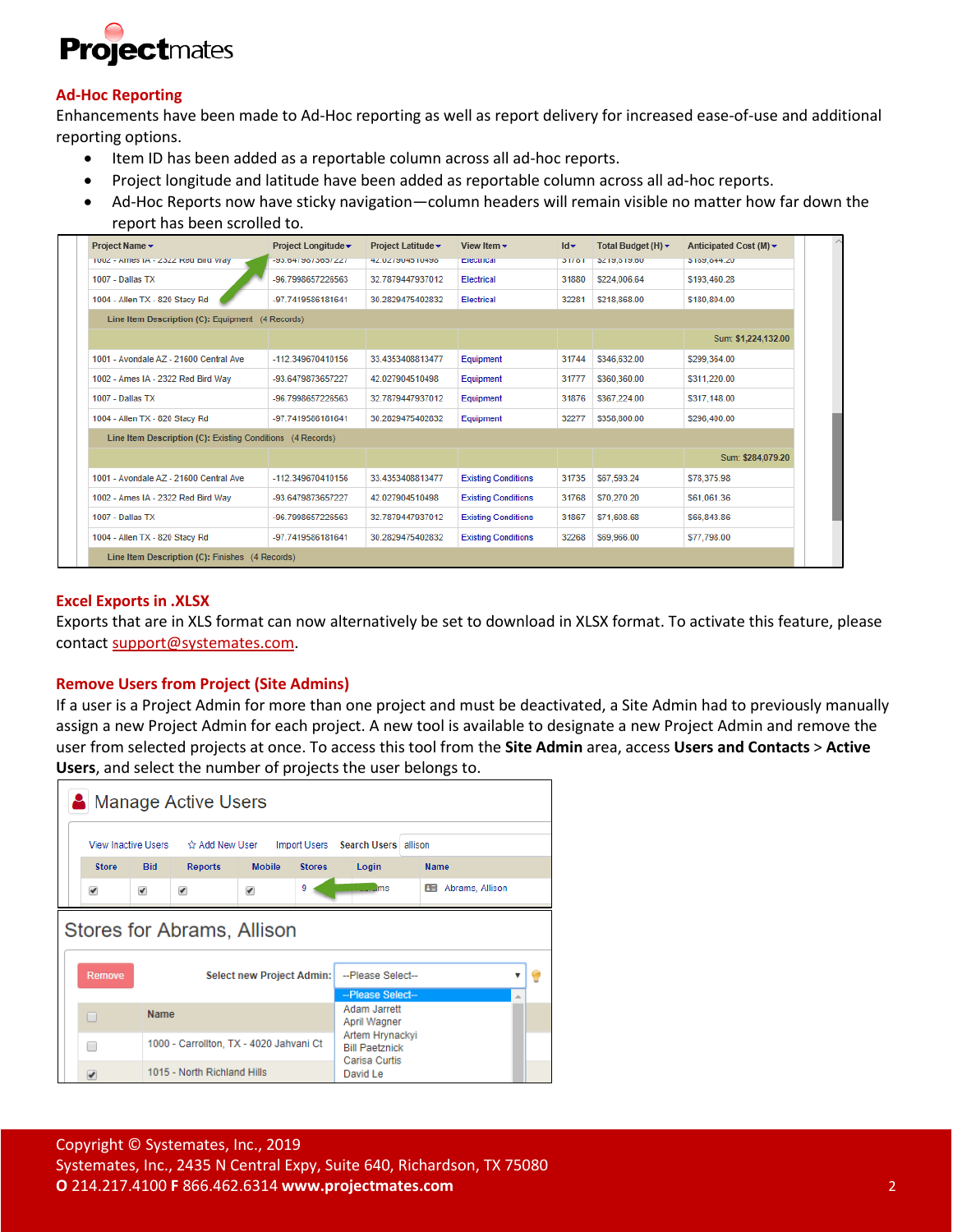

## **Ad-Hoc Reporting**

Enhancements have been made to Ad-Hoc reporting as well as report delivery for increased ease-of-use and additional reporting options.

- Item ID has been added as a reportable column across all ad-hoc reports.
- Project longitude and latitude have been added as reportable column across all ad-hoc reports.
- Ad-Hoc Reports now have sticky navigation—column headers will remain visible no matter how far down the report has been scrolled to.

| Project Name v                                             | Project Longitude ▼ | Project Latitude v | View Item $\star$          | $Id -$ | Total Budget (H) $\blacktriangledown$ | Anticipated Cost (M) $\star$ |  |
|------------------------------------------------------------|---------------------|--------------------|----------------------------|--------|---------------------------------------|------------------------------|--|
| TUUZ - AITIES IA - ZOZZ REGIDITU VVAY                      | 23.0479079007227    | 00991109921342     | Electrical                 | 31701  | <b>DZ 19,019.00</b>                   | 3109,044.20                  |  |
| 1007 - Dallas TX                                           | -96.7998657226563   | 32.7879447937012   | <b>Electrical</b>          | 31880  | \$224,006.64                          | \$193,460.28                 |  |
| 1004 - Allen TX - 820 Stacy Rd                             | -97.7419586181641   | 30.2829475402832   | Electrical                 | 32281  | \$218,868.00                          | \$180,804.00                 |  |
| Line Item Description (C): Equipment (4 Records)           |                     |                    |                            |        |                                       |                              |  |
|                                                            |                     |                    |                            |        |                                       | Sum: \$1,224,132.00          |  |
| 1001 - Avondale AZ - 21600 Central Ave                     | -112.349670410156   | 33 4353408813477   | Equipment                  | 31744  | \$346,632.00                          | \$299,364.00                 |  |
| 1002 - Ames IA - 2322 Red Bird Wav                         | -93.6479873657227   | 42.027904510498    | Equipment                  | 31777  | \$360,360.00                          | \$311.220.00                 |  |
| 1007 - Dallas TX                                           | -96.7998657226563   | 32.7879447937012   | Equipment                  | 31876  | \$367,224.00                          | \$317,148.00                 |  |
| 1004 - Allen TX - 820 Stacy Rd                             | -97.7419586181641   | 30.2829475402832   | Equipment                  | 32277  | \$358,800.00                          | \$296.400.00                 |  |
| Line Item Description (C): Existing Conditions (4 Records) |                     |                    |                            |        |                                       |                              |  |
|                                                            |                     |                    |                            |        |                                       | Sum: \$284,079.20            |  |
| 1001 - Avondale AZ - 21600 Central Ave                     | -112.349670410156   | 33.4353408813477   | <b>Existing Conditions</b> | 31735  | \$67,593.24                           | \$78,375.98                  |  |
| 1002 - Ames IA - 2322 Red Bird Way                         | -93.6479873657227   | 42.027904510498    | <b>Existing Conditions</b> | 31768  | \$70,270.20                           | \$61,061.36                  |  |
|                                                            |                     |                    | <b>Existing Conditions</b> | 31867  | \$71,608.68                           | \$66,843.86                  |  |
| $1007 - Dallas$ TX                                         | -96.7998657226563   | 32.7879447937012   |                            |        |                                       |                              |  |

#### **Excel Exports in .XLSX**

Exports that are in XLS format can now alternatively be set to download in XLSX format. To activate this feature, please contact [support@systemates.com.](mailto:support@systemates.com)

#### **Remove Users from Project (Site Admins)**

If a user is a Project Admin for more than one project and must be deactivated, a Site Admin had to previously manually assign a new Project Admin for each project. A new tool is available to designate a new Project Admin and remove the user from selected projects at once. To access this tool from the **Site Admin** area, access **Users and Contacts** > **Active Users**, and select the number of projects the user belongs to.

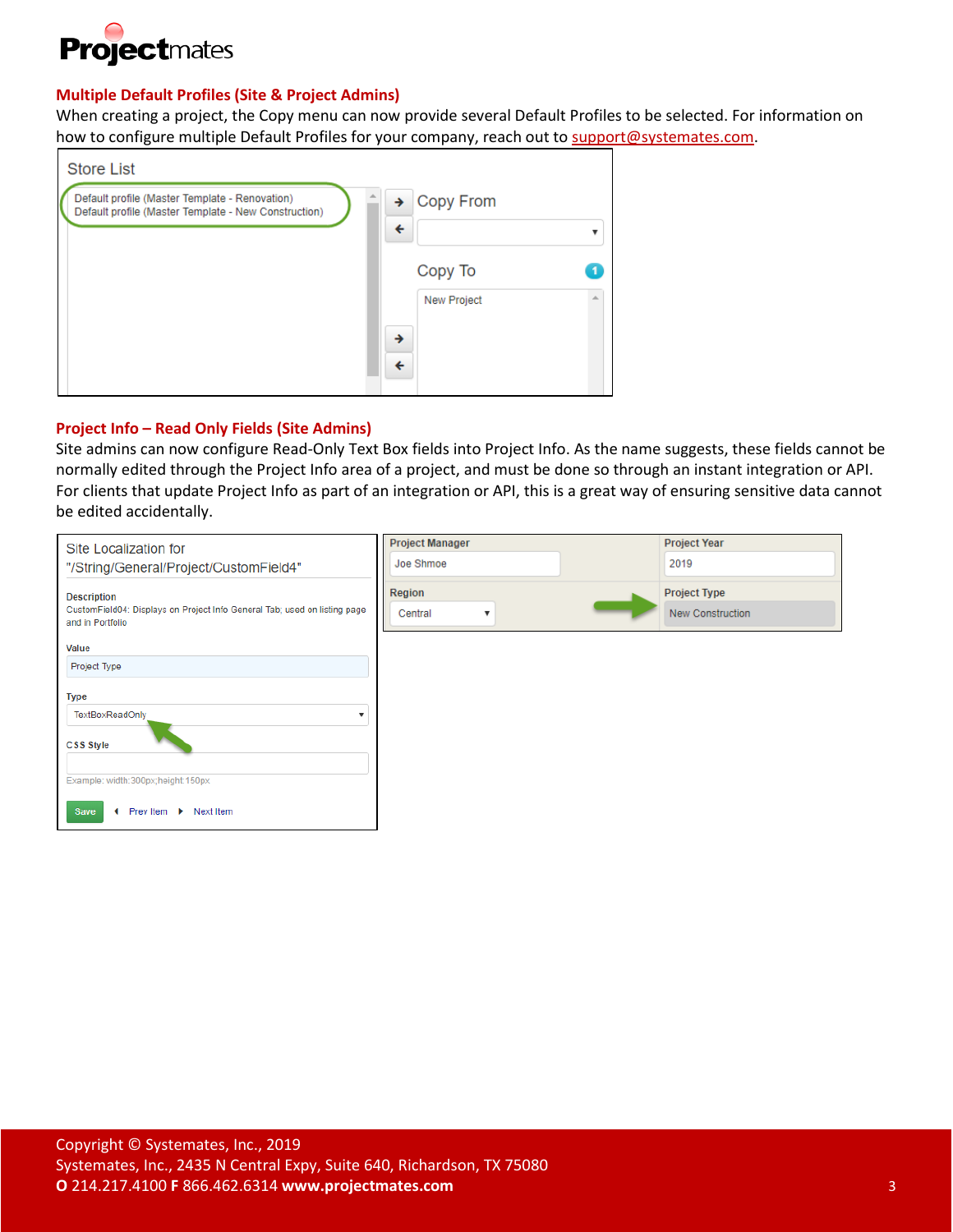

## **Multiple Default Profiles (Site & Project Admins)**

When creating a project, the Copy menu can now provide several Default Profiles to be selected. For information on how to configure multiple Default Profiles for your company, reach out t[o support@systemates.com.](mailto:support@systemates.com)

| <b>Store List</b>                                                                                      |                                                      |  |
|--------------------------------------------------------------------------------------------------------|------------------------------------------------------|--|
| Default profile (Master Template - Renovation)<br>Default profile (Master Template - New Construction) | Copy From<br>→<br>$\overline{\mathbf{f}}$<br>Copy To |  |
|                                                                                                        | <b>New Project</b><br>→<br>←                         |  |

## **Project Info – Read Only Fields (Site Admins)**

Site admins can now configure Read-Only Text Box fields into Project Info. As the name suggests, these fields cannot be normally edited through the Project Info area of a project, and must be done so through an instant integration or API. For clients that update Project Info as part of an integration or API, this is a great way of ensuring sensitive data cannot be edited accidentally.

| Site Localization for                                                                                               | <b>Project Manager</b>                       | <b>Project Year</b>                            |
|---------------------------------------------------------------------------------------------------------------------|----------------------------------------------|------------------------------------------------|
| "/String/General/Project/CustomField4"                                                                              | Joe Shmoe                                    | 2019                                           |
| <b>Description</b><br>CustomField04: Displays on Project Info General Tab; used on listing page<br>and in Portfolio | Region<br>Central<br>$\overline{\mathbf{v}}$ | <b>Project Type</b><br><b>New Construction</b> |
| Value                                                                                                               |                                              |                                                |
| Project Type                                                                                                        |                                              |                                                |
| <b>Type</b>                                                                                                         |                                              |                                                |
| TextBoxReadOnly                                                                                                     |                                              |                                                |
| CSS Style                                                                                                           |                                              |                                                |
| Example: width:300px;height:150px                                                                                   |                                              |                                                |
| Prev Item ▶ Next Item<br>Save<br>$\blacksquare$                                                                     |                                              |                                                |